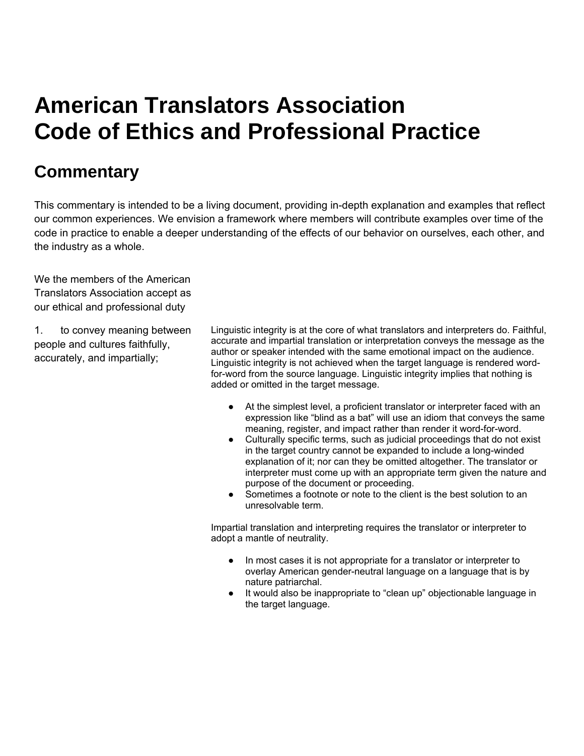## **American Translators Association Code of Ethics and Professional Practice**

## **Commentary**

This commentary is intended to be a living document, providing in-depth explanation and examples that reflect our common experiences. We envision a framework where members will contribute examples over time of the code in practice to enable a deeper understanding of the effects of our behavior on ourselves, each other, and the industry as a whole.

We the members of the American Translators Association accept as our ethical and professional duty

1. to convey meaning between people and cultures faithfully, accurately, and impartially;

Linguistic integrity is at the core of what translators and interpreters do. Faithful, accurate and impartial translation or interpretation conveys the message as the author or speaker intended with the same emotional impact on the audience. Linguistic integrity is not achieved when the target language is rendered wordfor-word from the source language. Linguistic integrity implies that nothing is added or omitted in the target message.

- At the simplest level, a proficient translator or interpreter faced with an expression like "blind as a bat" will use an idiom that conveys the same meaning, register, and impact rather than render it word-for-word.
- Culturally specific terms, such as judicial proceedings that do not exist in the target country cannot be expanded to include a long-winded explanation of it; nor can they be omitted altogether. The translator or interpreter must come up with an appropriate term given the nature and purpose of the document or proceeding.
- Sometimes a footnote or note to the client is the best solution to an unresolvable term.

Impartial translation and interpreting requires the translator or interpreter to adopt a mantle of neutrality.

- In most cases it is not appropriate for a translator or interpreter to overlay American gender-neutral language on a language that is by nature patriarchal.
- It would also be inappropriate to "clean up" objectionable language in the target language.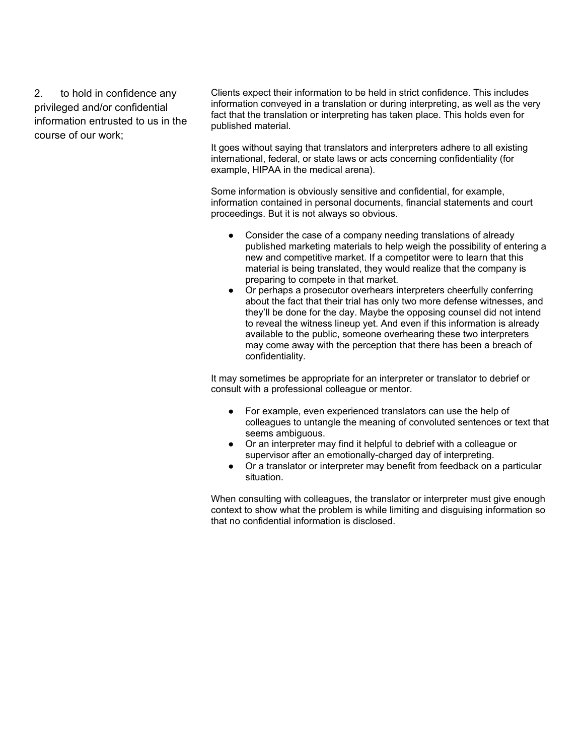2. to hold in confidence any privileged and/or confidential information entrusted to us in the course of our work;

Clients expect their information to be held in strict confidence. This includes information conveyed in a translation or during interpreting, as well as the very fact that the translation or interpreting has taken place. This holds even for published material.

It goes without saying that translators and interpreters adhere to all existing international, federal, or state laws or acts concerning confidentiality (for example, HIPAA in the medical arena).

Some information is obviously sensitive and confidential, for example, information contained in personal documents, financial statements and court proceedings. But it is not always so obvious.

- Consider the case of a company needing translations of already published marketing materials to help weigh the possibility of entering a new and competitive market. If a competitor were to learn that this material is being translated, they would realize that the company is preparing to compete in that market.
- Or perhaps a prosecutor overhears interpreters cheerfully conferring about the fact that their trial has only two more defense witnesses, and they'll be done for the day. Maybe the opposing counsel did not intend to reveal the witness lineup yet. And even if this information is already available to the public, someone overhearing these two interpreters may come away with the perception that there has been a breach of confidentiality.

It may sometimes be appropriate for an interpreter or translator to debrief or consult with a professional colleague or mentor.

- For example, even experienced translators can use the help of colleagues to untangle the meaning of convoluted sentences or text that seems ambiguous.
- Or an interpreter may find it helpful to debrief with a colleague or supervisor after an emotionally-charged day of interpreting.
- Or a translator or interpreter may benefit from feedback on a particular situation.

When consulting with colleagues, the translator or interpreter must give enough context to show what the problem is while limiting and disguising information so that no confidential information is disclosed.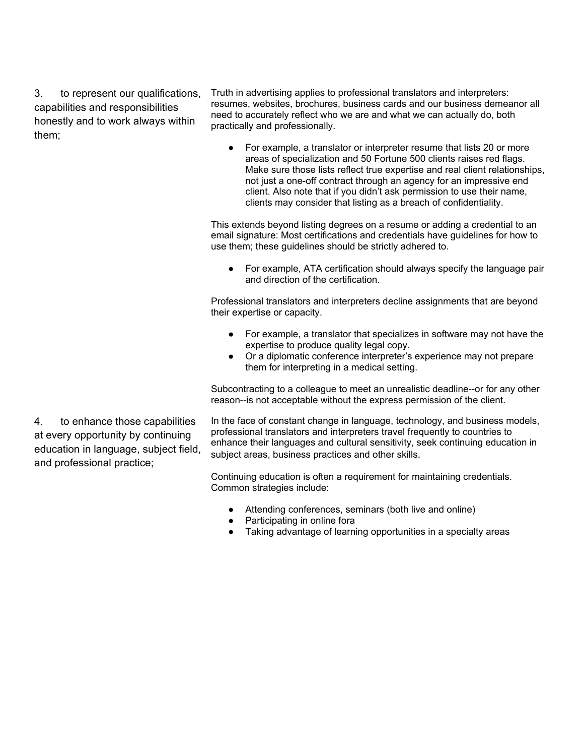3. to represent our qualifications, capabilities and responsibilities honestly and to work always within them;

Truth in advertising applies to professional translators and interpreters: resumes, websites, brochures, business cards and our business demeanor all need to accurately reflect who we are and what we can actually do, both practically and professionally.

● For example, a translator or interpreter resume that lists 20 or more areas of specialization and 50 Fortune 500 clients raises red flags. Make sure those lists reflect true expertise and real client relationships, not just a one-off contract through an agency for an impressive end client. Also note that if you didn't ask permission to use their name, clients may consider that listing as a breach of confidentiality.

This extends beyond listing degrees on a resume or adding a credential to an email signature: Most certifications and credentials have guidelines for how to use them; these guidelines should be strictly adhered to.

● For example, ATA certification should always specify the language pair and direction of the certification.

Professional translators and interpreters decline assignments that are beyond their expertise or capacity.

- For example, a translator that specializes in software may not have the expertise to produce quality legal copy.
- Or a diplomatic conference interpreter's experience may not prepare them for interpreting in a medical setting.

Subcontracting to a colleague to meet an unrealistic deadline--or for any other reason--is not acceptable without the express permission of the client.

In the face of constant change in language, technology, and business models, professional translators and interpreters travel frequently to countries to enhance their languages and cultural sensitivity, seek continuing education in subject areas, business practices and other skills.

Continuing education is often a requirement for maintaining credentials. Common strategies include:

- Attending conferences, seminars (both live and online)
- Participating in online fora
- Taking advantage of learning opportunities in a specialty areas

4. to enhance those capabilities at every opportunity by continuing education in language, subject field, and professional practice;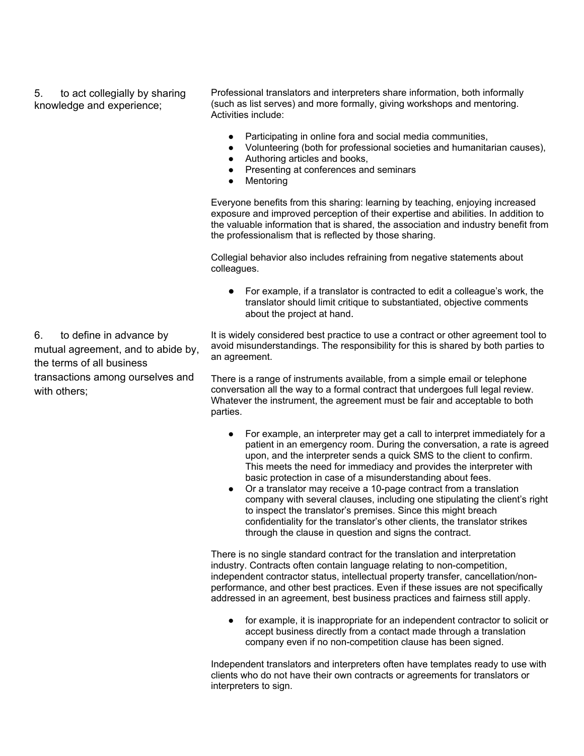5. to act collegially by sharing knowledge and experience;

Professional translators and interpreters share information, both informally (such as list serves) and more formally, giving workshops and mentoring. Activities include:

- Participating in online fora and social media communities,
- Volunteering (both for professional societies and humanitarian causes),
- Authoring articles and books,
- Presenting at conferences and seminars<br>• Mentoring
- **Mentoring**

Everyone benefits from this sharing: learning by teaching, enjoying increased exposure and improved perception of their expertise and abilities. In addition to the valuable information that is shared, the association and industry benefit from the professionalism that is reflected by those sharing.

Collegial behavior also includes refraining from negative statements about colleagues.

● For example, if a translator is contracted to edit a colleague's work, the translator should limit critique to substantiated, objective comments about the project at hand.

It is widely considered best practice to use a contract or other agreement tool to avoid misunderstandings. The responsibility for this is shared by both parties to an agreement.

There is a range of instruments available, from a simple email or telephone conversation all the way to a formal contract that undergoes full legal review. Whatever the instrument, the agreement must be fair and acceptable to both parties.

- For example, an interpreter may get a call to interpret immediately for a patient in an emergency room. During the conversation, a rate is agreed upon, and the interpreter sends a quick SMS to the client to confirm. This meets the need for immediacy and provides the interpreter with basic protection in case of a misunderstanding about fees.
- Or a translator may receive a 10-page contract from a translation company with several clauses, including one stipulating the client's right to inspect the translator's premises. Since this might breach confidentiality for the translator's other clients, the translator strikes through the clause in question and signs the contract.

There is no single standard contract for the translation and interpretation industry. Contracts often contain language relating to non-competition, independent contractor status, intellectual property transfer, cancellation/nonperformance, and other best practices. Even if these issues are not specifically addressed in an agreement, best business practices and fairness still apply.

● for example, it is inappropriate for an independent contractor to solicit or accept business directly from a contact made through a translation company even if no non-competition clause has been signed.

Independent translators and interpreters often have templates ready to use with clients who do not have their own contracts or agreements for translators or interpreters to sign.

6. to define in advance by mutual agreement, and to abide by, the terms of all business transactions among ourselves and with others;